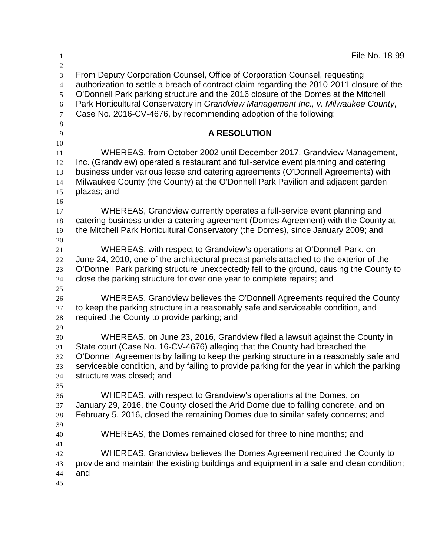| $\mathbf{1}$                                      | File No. 18-99                                                                                                                                                                                                                                                                                                                                                                                                           |
|---------------------------------------------------|--------------------------------------------------------------------------------------------------------------------------------------------------------------------------------------------------------------------------------------------------------------------------------------------------------------------------------------------------------------------------------------------------------------------------|
| 2<br>3<br>$\overline{4}$<br>5<br>6<br>$\tau$<br>8 | From Deputy Corporation Counsel, Office of Corporation Counsel, requesting<br>authorization to settle a breach of contract claim regarding the 2010-2011 closure of the<br>O'Donnell Park parking structure and the 2016 closure of the Domes at the Mitchell<br>Park Horticultural Conservatory in Grandview Management Inc., v. Milwaukee County,<br>Case No. 2016-CV-4676, by recommending adoption of the following: |
| 9<br>10                                           | <b>A RESOLUTION</b>                                                                                                                                                                                                                                                                                                                                                                                                      |
| 11<br>12<br>13<br>14<br>15<br>16                  | WHEREAS, from October 2002 until December 2017, Grandview Management,<br>Inc. (Grandview) operated a restaurant and full-service event planning and catering<br>business under various lease and catering agreements (O'Donnell Agreements) with<br>Milwaukee County (the County) at the O'Donnell Park Pavilion and adjacent garden<br>plazas; and                                                                      |
| 17<br>18<br>19<br>20                              | WHEREAS, Grandview currently operates a full-service event planning and<br>catering business under a catering agreement (Domes Agreement) with the County at<br>the Mitchell Park Horticultural Conservatory (the Domes), since January 2009; and                                                                                                                                                                        |
| 21<br>22<br>23<br>24<br>25                        | WHEREAS, with respect to Grandview's operations at O'Donnell Park, on<br>June 24, 2010, one of the architectural precast panels attached to the exterior of the<br>O'Donnell Park parking structure unexpectedly fell to the ground, causing the County to<br>close the parking structure for over one year to complete repairs; and                                                                                     |
| 26<br>27<br>28<br>29                              | WHEREAS, Grandview believes the O'Donnell Agreements required the County<br>to keep the parking structure in a reasonably safe and serviceable condition, and<br>required the County to provide parking; and                                                                                                                                                                                                             |
| 30<br>31<br>32<br>33<br>34<br>35                  | WHEREAS, on June 23, 2016, Grandview filed a lawsuit against the County in<br>State court (Case No. 16-CV-4676) alleging that the County had breached the<br>O'Donnell Agreements by failing to keep the parking structure in a reasonably safe and<br>serviceable condition, and by failing to provide parking for the year in which the parking<br>structure was closed; and                                           |
| 36<br>37<br>38<br>39                              | WHEREAS, with respect to Grandview's operations at the Domes, on<br>January 29, 2016, the County closed the Arid Dome due to falling concrete, and on<br>February 5, 2016, closed the remaining Domes due to similar safety concerns; and                                                                                                                                                                                |
| 40<br>41                                          | WHEREAS, the Domes remained closed for three to nine months; and                                                                                                                                                                                                                                                                                                                                                         |
| 42<br>43<br>44<br>45                              | WHEREAS, Grandview believes the Domes Agreement required the County to<br>provide and maintain the existing buildings and equipment in a safe and clean condition;<br>and                                                                                                                                                                                                                                                |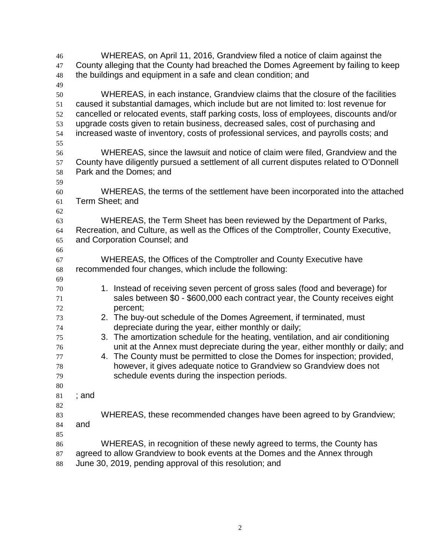WHEREAS, on April 11, 2016, Grandview filed a notice of claim against the County alleging that the County had breached the Domes Agreement by failing to keep the buildings and equipment in a safe and clean condition; and WHEREAS, in each instance, Grandview claims that the closure of the facilities caused it substantial damages, which include but are not limited to: lost revenue for cancelled or relocated events, staff parking costs, loss of employees, discounts and/or upgrade costs given to retain business, decreased sales, cost of purchasing and increased waste of inventory, costs of professional services, and payrolls costs; and WHEREAS, since the lawsuit and notice of claim were filed, Grandview and the County have diligently pursued a settlement of all current disputes related to O'Donnell Park and the Domes; and WHEREAS, the terms of the settlement have been incorporated into the attached Term Sheet; and WHEREAS, the Term Sheet has been reviewed by the Department of Parks, Recreation, and Culture, as well as the Offices of the Comptroller, County Executive, and Corporation Counsel; and WHEREAS, the Offices of the Comptroller and County Executive have recommended four changes, which include the following: 1. Instead of receiving seven percent of gross sales (food and beverage) for sales between \$0 - \$600,000 each contract year, the County receives eight percent; 2. The buy-out schedule of the Domes Agreement, if terminated, must depreciate during the year, either monthly or daily; 3. The amortization schedule for the heating, ventilation, and air conditioning unit at the Annex must depreciate during the year, either monthly or daily; and 4. The County must be permitted to close the Domes for inspection; provided, however, it gives adequate notice to Grandview so Grandview does not schedule events during the inspection periods. ; and WHEREAS, these recommended changes have been agreed to by Grandview; and WHEREAS, in recognition of these newly agreed to terms, the County has agreed to allow Grandview to book events at the Domes and the Annex through June 30, 2019, pending approval of this resolution; and